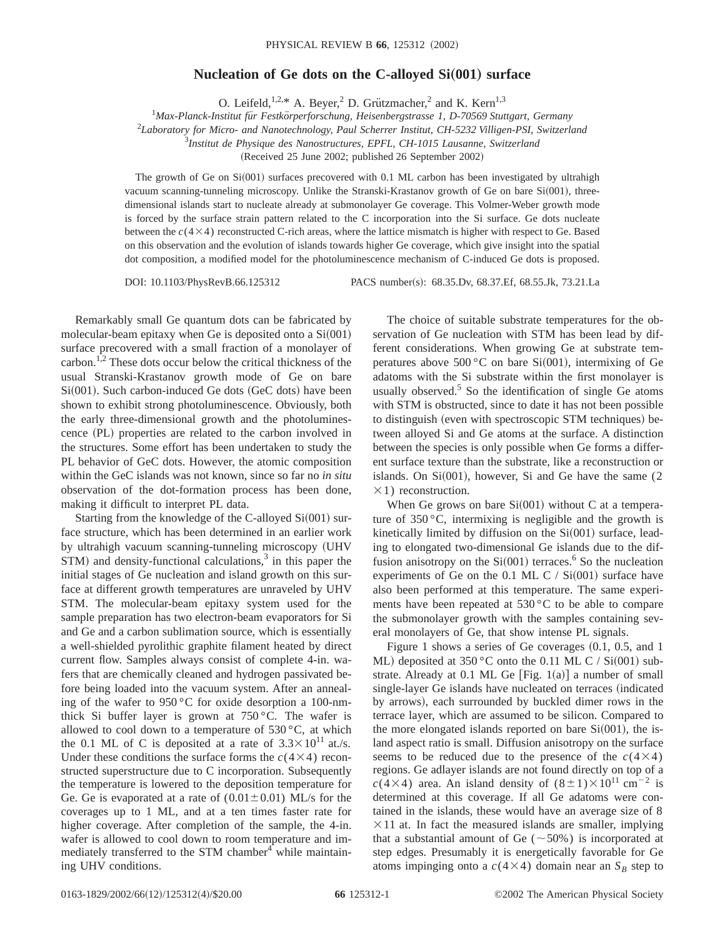## **Nucleation of Ge dots on the C-alloyed Si(001) surface**

O. Leifeld,<sup>1,2,\*</sup> A. Beyer,<sup>2</sup> D. Grützmacher,<sup>2</sup> and K. Kern<sup>1,3</sup>

<sup>1</sup>Max-Planck-Institut für Festkörperforschung, Heisenbergstrasse 1, D-70569 Stuttgart, Germany

2 *Laboratory for Micro- and Nanotechnology, Paul Scherrer Institut, CH-5232 Villigen-PSI, Switzerland*

3 *Institut de Physique des Nanostructures, EPFL, CH-1015 Lausanne, Switzerland*

(Received 25 June 2002; published 26 September 2002)

The growth of Ge on  $Si(001)$  surfaces precovered with 0.1 ML carbon has been investigated by ultrahigh vacuum scanning-tunneling microscopy. Unlike the Stranski-Krastanov growth of Ge on bare  $Si(001)$ , threedimensional islands start to nucleate already at submonolayer Ge coverage. This Volmer-Weber growth mode is forced by the surface strain pattern related to the C incorporation into the Si surface. Ge dots nucleate between the  $c(4\times4)$  reconstructed C-rich areas, where the lattice mismatch is higher with respect to Ge. Based on this observation and the evolution of islands towards higher Ge coverage, which give insight into the spatial dot composition, a modified model for the photoluminescence mechanism of C-induced Ge dots is proposed.

DOI: 10.1103/PhysRevB.66.125312 PACS number(s): 68.35.Dv, 68.37.Ef, 68.55.Jk, 73.21.La

Remarkably small Ge quantum dots can be fabricated by molecular-beam epitaxy when Ge is deposited onto a  $Si(001)$ surface precovered with a small fraction of a monolayer of carbon.1,2 These dots occur below the critical thickness of the usual Stranski-Krastanov growth mode of Ge on bare  $Si(001)$ . Such carbon-induced Ge dots (GeC dots) have been shown to exhibit strong photoluminescence. Obviously, both the early three-dimensional growth and the photoluminescence (PL) properties are related to the carbon involved in the structures. Some effort has been undertaken to study the PL behavior of GeC dots. However, the atomic composition within the GeC islands was not known, since so far no *in situ* observation of the dot-formation process has been done, making it difficult to interpret PL data.

Starting from the knowledge of the C-alloyed  $Si(001)$  surface structure, which has been determined in an earlier work by ultrahigh vacuum scanning-tunneling microscopy (UHV  $STM$ ) and density-functional calculations,<sup>3</sup> in this paper the initial stages of Ge nucleation and island growth on this surface at different growth temperatures are unraveled by UHV STM. The molecular-beam epitaxy system used for the sample preparation has two electron-beam evaporators for Si and Ge and a carbon sublimation source, which is essentially a well-shielded pyrolithic graphite filament heated by direct current flow. Samples always consist of complete 4-in. wafers that are chemically cleaned and hydrogen passivated before being loaded into the vacuum system. After an annealing of the wafer to 950 °C for oxide desorption a 100-nmthick Si buffer layer is grown at  $750^{\circ}$ C. The wafer is allowed to cool down to a temperature of 530 $\,^{\circ}$ C, at which the 0.1 ML of C is deposited at a rate of  $3.3 \times 10^{11}$  at./s. Under these conditions the surface forms the  $c(4\times4)$  reconstructed superstructure due to C incorporation. Subsequently the temperature is lowered to the deposition temperature for Ge. Ge is evaporated at a rate of  $(0.01 \pm 0.01)$  ML/s for the coverages up to 1 ML, and at a ten times faster rate for higher coverage. After completion of the sample, the 4-in. wafer is allowed to cool down to room temperature and immediately transferred to the STM chamber<sup>4</sup> while maintaining UHV conditions.

The choice of suitable substrate temperatures for the observation of Ge nucleation with STM has been lead by different considerations. When growing Ge at substrate temperatures above 500 °C on bare Si $(001)$ , intermixing of Ge adatoms with the Si substrate within the first monolayer is usually observed. $5$  So the identification of single Ge atoms with STM is obstructed, since to date it has not been possible to distinguish (even with spectroscopic STM techniques) between alloyed Si and Ge atoms at the surface. A distinction between the species is only possible when Ge forms a different surface texture than the substrate, like a reconstruction or islands. On  $Si(001)$ , however, Si and Ge have the same (2)  $\times$ 1) reconstruction.

When Ge grows on bare  $Si(001)$  without C at a temperature of 350 °C, intermixing is negligible and the growth is kinetically limited by diffusion on the  $Si(001)$  surface, leading to elongated two-dimensional Ge islands due to the diffusion anisotropy on the  $Si(001)$  terraces.<sup>6</sup> So the nucleation experiments of Ge on the 0.1 ML C /  $Si(001)$  surface have also been performed at this temperature. The same experiments have been repeated at 530 °C to be able to compare the submonolayer growth with the samples containing several monolayers of Ge, that show intense PL signals.

Figure 1 shows a series of Ge coverages  $(0.1, 0.5,$  and 1 ML) deposited at  $350^{\circ}$ C onto the 0.11 ML C / Si $(001)$  substrate. Already at 0.1 ML Ge [Fig.  $1(a)$ ] a number of small single-layer Ge islands have nucleated on terraces (indicated by arrows), each surrounded by buckled dimer rows in the terrace layer, which are assumed to be silicon. Compared to the more elongated islands reported on bare  $Si(001)$ , the island aspect ratio is small. Diffusion anisotropy on the surface seems to be reduced due to the presence of the  $c(4\times4)$ regions. Ge adlayer islands are not found directly on top of a  $c(4\times4)$  area. An island density of  $(8\pm1)\times10^{11}$  cm<sup>-2</sup> is determined at this coverage. If all Ge adatoms were contained in the islands, these would have an average size of 8  $\times$ 11 at. In fact the measured islands are smaller, implying that a substantial amount of Ge ( $\sim$ 50%) is incorporated at step edges. Presumably it is energetically favorable for Ge atoms impinging onto a  $c(4\times4)$  domain near an  $S_B$  step to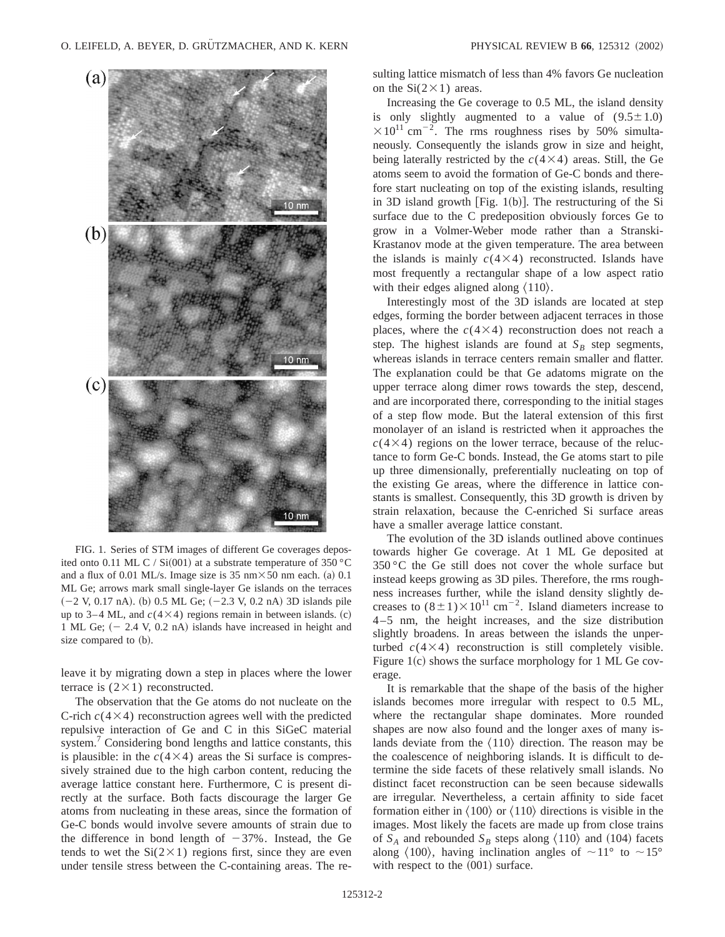

FIG. 1. Series of STM images of different Ge coverages deposited onto 0.11 ML C / Si $(001)$  at a substrate temperature of 350 °C and a flux of 0.01 ML/s. Image size is 35 nm $\times$  50 nm each. (a) 0.1 ML Ge; arrows mark small single-layer Ge islands on the terraces  $(-2 \text{ V}, 0.17 \text{ nA})$ . (b) 0.5 ML Ge;  $(-2.3 \text{ V}, 0.2 \text{ nA})$  3D islands pile up to 3–4 ML, and  $c(4\times4)$  regions remain in between islands. (c) 1 ML Ge;  $(-2.4 \text{ V}, 0.2 \text{ nA})$  islands have increased in height and size compared to  $(b)$ .

leave it by migrating down a step in places where the lower terrace is  $(2 \times 1)$  reconstructed.

The observation that the Ge atoms do not nucleate on the C-rich  $c(4\times4)$  reconstruction agrees well with the predicted repulsive interaction of Ge and C in this SiGeC material system.<sup>7</sup> Considering bond lengths and lattice constants, this is plausible: in the  $c(4\times4)$  areas the Si surface is compressively strained due to the high carbon content, reducing the average lattice constant here. Furthermore, C is present directly at the surface. Both facts discourage the larger Ge atoms from nucleating in these areas, since the formation of Ge-C bonds would involve severe amounts of strain due to the difference in bond length of  $-37\%$ . Instead, the Ge tends to wet the  $Si(2\times1)$  regions first, since they are even under tensile stress between the C-containing areas. The resulting lattice mismatch of less than 4% favors Ge nucleation on the  $Si(2\times1)$  areas.

Increasing the Ge coverage to 0.5 ML, the island density is only slightly augmented to a value of  $(9.5 \pm 1.0)$  $\times 10^{11}$  cm<sup>-2</sup>. The rms roughness rises by 50% simultaneously. Consequently the islands grow in size and height, being laterally restricted by the  $c(4\times4)$  areas. Still, the Ge atoms seem to avoid the formation of Ge-C bonds and therefore start nucleating on top of the existing islands, resulting in 3D island growth [Fig.  $1(b)$ ]. The restructuring of the Si surface due to the C predeposition obviously forces Ge to grow in a Volmer-Weber mode rather than a Stranski-Krastanov mode at the given temperature. The area between the islands is mainly  $c(4\times4)$  reconstructed. Islands have most frequently a rectangular shape of a low aspect ratio with their edges aligned along  $\langle 110 \rangle$ .

Interestingly most of the 3D islands are located at step edges, forming the border between adjacent terraces in those places, where the  $c(4\times4)$  reconstruction does not reach a step. The highest islands are found at  $S_B$  step segments, whereas islands in terrace centers remain smaller and flatter. The explanation could be that Ge adatoms migrate on the upper terrace along dimer rows towards the step, descend, and are incorporated there, corresponding to the initial stages of a step flow mode. But the lateral extension of this first monolayer of an island is restricted when it approaches the  $c(4\times4)$  regions on the lower terrace, because of the reluctance to form Ge-C bonds. Instead, the Ge atoms start to pile up three dimensionally, preferentially nucleating on top of the existing Ge areas, where the difference in lattice constants is smallest. Consequently, this 3D growth is driven by strain relaxation, because the C-enriched Si surface areas have a smaller average lattice constant.

The evolution of the 3D islands outlined above continues towards higher Ge coverage. At 1 ML Ge deposited at 350 °C the Ge still does not cover the whole surface but instead keeps growing as 3D piles. Therefore, the rms roughness increases further, while the island density slightly decreases to  $(8\pm1)\times10^{11}$  cm<sup>-2</sup>. Island diameters increase to 4–5 nm, the height increases, and the size distribution slightly broadens. In areas between the islands the unperturbed  $c(4\times4)$  reconstruction is still completely visible. Figure 1 $(c)$  shows the surface morphology for 1 ML Ge coverage.

It is remarkable that the shape of the basis of the higher islands becomes more irregular with respect to 0.5 ML, where the rectangular shape dominates. More rounded shapes are now also found and the longer axes of many islands deviate from the  $\langle 110 \rangle$  direction. The reason may be the coalescence of neighboring islands. It is difficult to determine the side facets of these relatively small islands. No distinct facet reconstruction can be seen because sidewalls are irregular. Nevertheless, a certain affinity to side facet formation either in  $\langle 100 \rangle$  or  $\langle 110 \rangle$  directions is visible in the images. Most likely the facets are made up from close trains of  $S_A$  and rebounded  $S_B$  steps along  $\langle 110 \rangle$  and  $\langle 104 \rangle$  facets along  $\langle 100 \rangle$ , having inclination angles of  $\sim 11^{\circ}$  to  $\sim 15^{\circ}$ with respect to the  $(001)$  surface.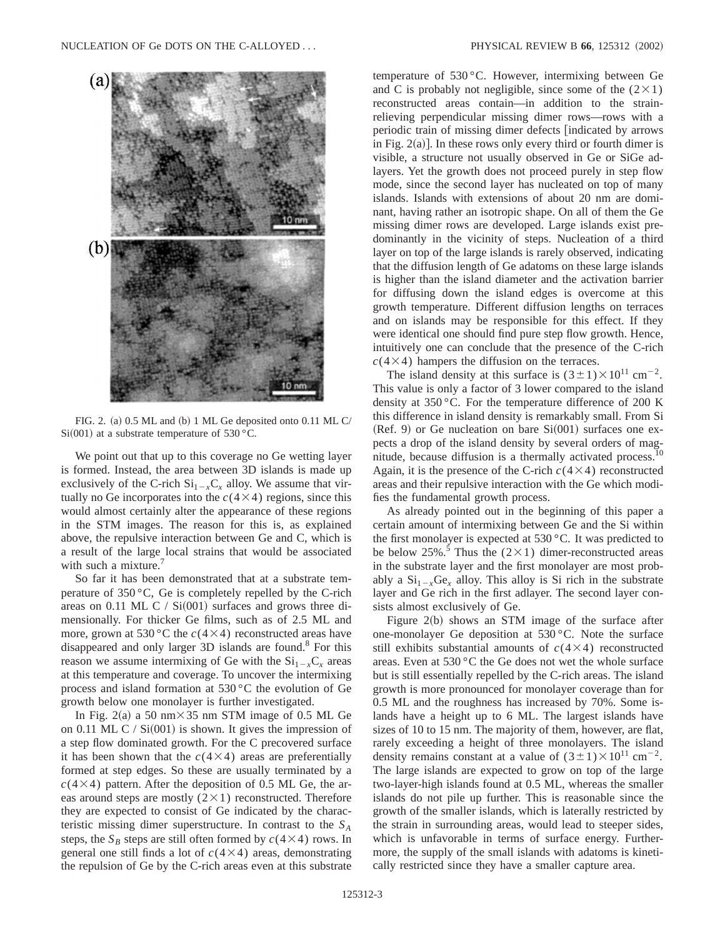

FIG. 2. (a) 0.5 ML and (b) 1 ML Ge deposited onto 0.11 ML C/  $Si(001)$  at a substrate temperature of 530 °C.

We point out that up to this coverage no Ge wetting layer is formed. Instead, the area between 3D islands is made up exclusively of the C-rich  $Si_{1-x}C_x$  alloy. We assume that virtually no Ge incorporates into the  $c(4\times4)$  regions, since this would almost certainly alter the appearance of these regions in the STM images. The reason for this is, as explained above, the repulsive interaction between Ge and C, which is a result of the large local strains that would be associated with such a mixture.<sup>7</sup>

So far it has been demonstrated that at a substrate temperature of 350 °C, Ge is completely repelled by the C-rich areas on 0.11 ML C /  $Si(001)$  surfaces and grows three dimensionally. For thicker Ge films, such as of 2.5 ML and more, grown at 530 °C the  $c(4\times4)$  reconstructed areas have disappeared and only larger 3D islands are found.<sup>8</sup> For this reason we assume intermixing of Ge with the  $Si_{1-x}C_x$  areas at this temperature and coverage. To uncover the intermixing process and island formation at 530 °C the evolution of Ge growth below one monolayer is further investigated.

In Fig. 2(a) a 50 nm $\times$ 35 nm STM image of 0.5 ML Ge on 0.11 ML C /  $Si(001)$  is shown. It gives the impression of a step flow dominated growth. For the C precovered surface it has been shown that the  $c(4\times4)$  areas are preferentially formed at step edges. So these are usually terminated by a  $c(4\times4)$  pattern. After the deposition of 0.5 ML Ge, the areas around steps are mostly  $(2\times1)$  reconstructed. Therefore they are expected to consist of Ge indicated by the characteristic missing dimer superstructure. In contrast to the *SA* steps, the  $S_B$  steps are still often formed by  $c(4\times4)$  rows. In general one still finds a lot of  $c(4\times4)$  areas, demonstrating the repulsion of Ge by the C-rich areas even at this substrate

temperature of 530 °C. However, intermixing between Ge and C is probably not negligible, since some of the  $(2\times1)$ reconstructed areas contain—in addition to the strainrelieving perpendicular missing dimer rows—rows with a periodic train of missing dimer defects [indicated by arrows in Fig.  $2(a)$ ]. In these rows only every third or fourth dimer is visible, a structure not usually observed in Ge or SiGe adlayers. Yet the growth does not proceed purely in step flow mode, since the second layer has nucleated on top of many islands. Islands with extensions of about 20 nm are dominant, having rather an isotropic shape. On all of them the Ge missing dimer rows are developed. Large islands exist predominantly in the vicinity of steps. Nucleation of a third layer on top of the large islands is rarely observed, indicating that the diffusion length of Ge adatoms on these large islands is higher than the island diameter and the activation barrier for diffusing down the island edges is overcome at this growth temperature. Different diffusion lengths on terraces and on islands may be responsible for this effect. If they were identical one should find pure step flow growth. Hence, intuitively one can conclude that the presence of the C-rich  $c(4\times4)$  hampers the diffusion on the terraces.

The island density at this surface is  $(3\pm1)\times10^{11}$  cm<sup>-2</sup>. This value is only a factor of 3 lower compared to the island density at 350 °C. For the temperature difference of 200 K this difference in island density is remarkably small. From Si  $(Ref. 9)$  or Ge nucleation on bare  $Si(001)$  surfaces one expects a drop of the island density by several orders of magnitude, because diffusion is a thermally activated process.10 Again, it is the presence of the C-rich  $c(4\times4)$  reconstructed areas and their repulsive interaction with the Ge which modifies the fundamental growth process.

As already pointed out in the beginning of this paper a certain amount of intermixing between Ge and the Si within the first monolayer is expected at 530 °C. It was predicted to be below 25%.<sup>5</sup> Thus the ( $2\times1$ ) dimer-reconstructed areas in the substrate layer and the first monolayer are most probably a  $Si_{1-x}Ge_x$  alloy. This alloy is Si rich in the substrate layer and Ge rich in the first adlayer. The second layer consists almost exclusively of Ge.

Figure  $2(b)$  shows an STM image of the surface after one-monolayer Ge deposition at 530 °C. Note the surface still exhibits substantial amounts of  $c(4\times4)$  reconstructed areas. Even at 530 °C the Ge does not wet the whole surface but is still essentially repelled by the C-rich areas. The island growth is more pronounced for monolayer coverage than for 0.5 ML and the roughness has increased by 70%. Some islands have a height up to 6 ML. The largest islands have sizes of 10 to 15 nm. The majority of them, however, are flat, rarely exceeding a height of three monolayers. The island density remains constant at a value of  $(3\pm1)\times10^{11}$  cm<sup>-2</sup>. The large islands are expected to grow on top of the large two-layer-high islands found at 0.5 ML, whereas the smaller islands do not pile up further. This is reasonable since the growth of the smaller islands, which is laterally restricted by the strain in surrounding areas, would lead to steeper sides, which is unfavorable in terms of surface energy. Furthermore, the supply of the small islands with adatoms is kinetically restricted since they have a smaller capture area.